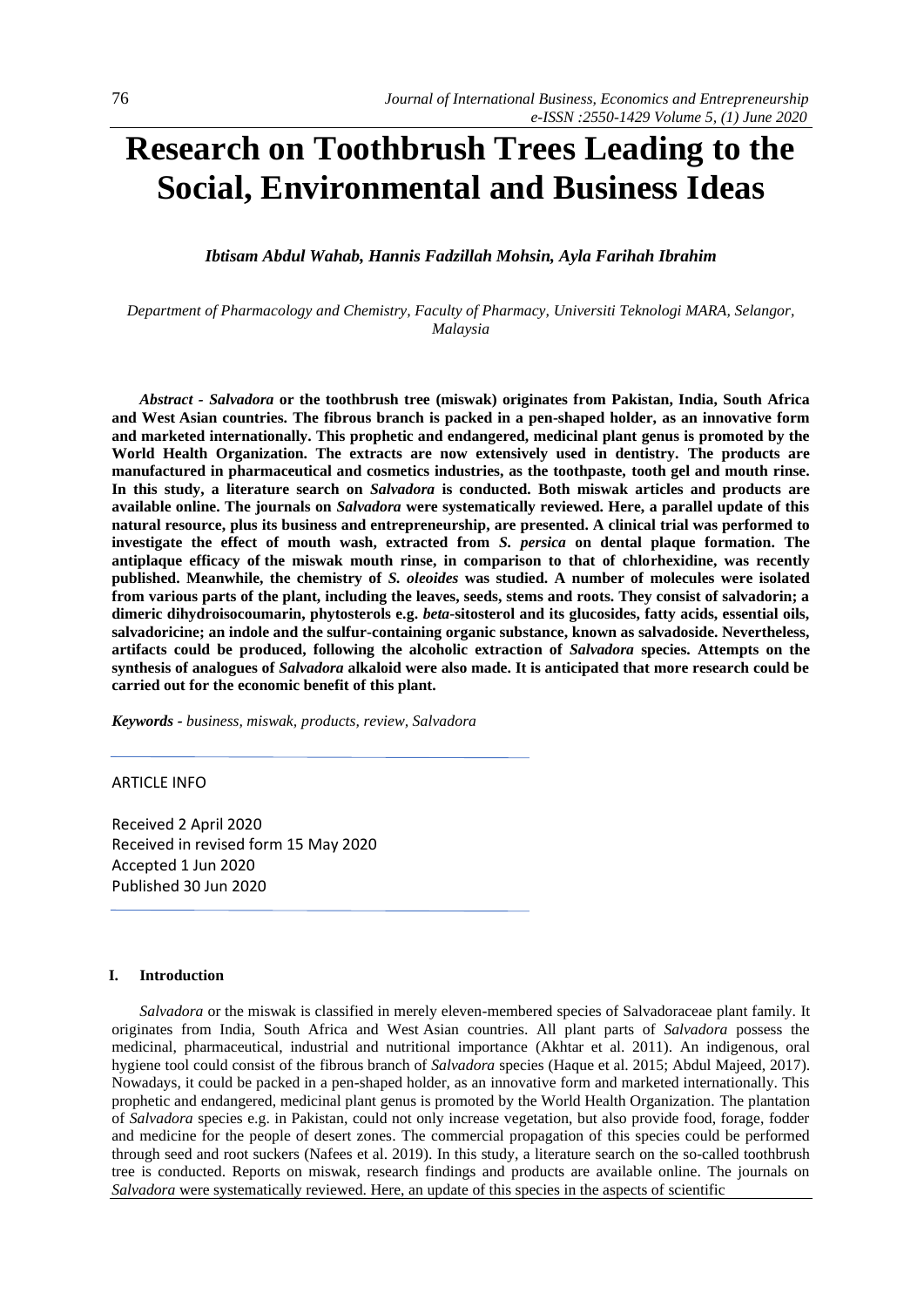# **Research on Toothbrush Trees Leading to the Social, Environmental and Business Ideas**

*Ibtisam Abdul Wahab, Hannis Fadzillah Mohsin, Ayla Farihah Ibrahim*

*Department of Pharmacology and Chemistry, Faculty of Pharmacy, Universiti Teknologi MARA, Selangor, Malaysia*

*Abstract - Salvadora* **or the toothbrush tree (miswak) originates from Pakistan, India, South Africa and West Asian countries. The fibrous branch is packed in a pen-shaped holder, as an innovative form and marketed internationally. This prophetic and endangered, medicinal plant genus is promoted by the World Health Organization. The extracts are now extensively used in dentistry. The products are manufactured in pharmaceutical and cosmetics industries, as the toothpaste, tooth gel and mouth rinse. In this study, a literature search on** *Salvadora* **is conducted. Both miswak articles and products are available online. The journals on** *Salvadora* **were systematically reviewed. Here, a parallel update of this natural resource, plus its business and entrepreneurship, are presented. A clinical trial was performed to investigate the effect of mouth wash, extracted from** *S. persica* **on dental plaque formation. The antiplaque efficacy of the miswak mouth rinse, in comparison to that of chlorhexidine, was recently published. Meanwhile, the chemistry of** *S. oleoides* **was studied. A number of molecules were isolated from various parts of the plant, including the leaves, seeds, stems and roots. They consist of salvadorin; a dimeric dihydroisocoumarin, phytosterols e.g.** *beta***-sitosterol and its glucosides, fatty acids, essential oils, salvadoricine; an indole and the sulfur-containing organic substance, known as salvadoside. Nevertheless, artifacts could be produced, following the alcoholic extraction of** *Salvadora* **species. Attempts on the synthesis of analogues of** *Salvadora* **alkaloid were also made. It is anticipated that more research could be carried out for the economic benefit of this plant.**

*Keywords - business, miswak, products, review, Salvadora*

### ARTICLE INFO

Received 2 April 2020 Received in revised form 15 May 2020 Accepted 1 Jun 2020 Published 30 Jun 2020

## **I. Introduction**

*Salvadora* or the miswak is classified in merely eleven-membered species of Salvadoraceae plant family. It originates from India, South Africa and West Asian countries. All plant parts of *Salvadora* possess the medicinal, pharmaceutical, industrial and nutritional importance (Akhtar et al. 2011). An indigenous, oral hygiene tool could consist of the fibrous branch of *Salvadora* species (Haque et al. 2015; Abdul Majeed, 2017). Nowadays, it could be packed in a pen-shaped holder, as an innovative form and marketed internationally. This prophetic and endangered, medicinal plant genus is promoted by the World Health Organization. The plantation of *Salvadora* species e.g. in Pakistan, could not only increase vegetation, but also provide food, forage, fodder and medicine for the people of desert zones. The commercial propagation of this species could be performed through seed and root suckers (Nafees et al. 2019). In this study, a literature search on the so-called toothbrush tree is conducted. Reports on miswak, research findings and products are available online. The journals on *Salvadora* were systematically reviewed. Here, an update of this species in the aspects of scientific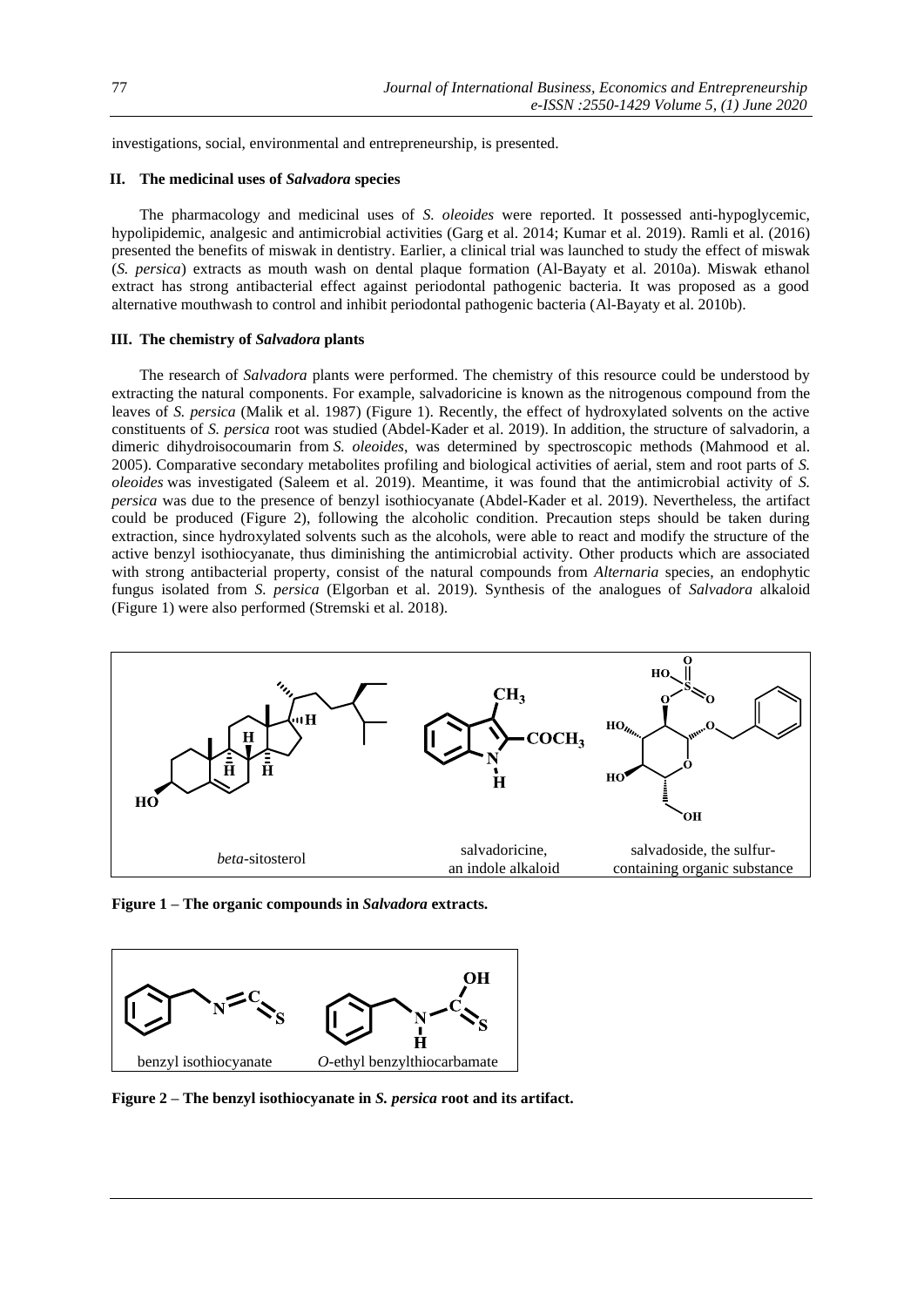investigations, social, environmental and entrepreneurship, is presented.

## **II. The medicinal uses of** *Salvadora* **species**

The pharmacology and medicinal uses of *S. oleoides* were reported. It possessed anti-hypoglycemic, hypolipidemic, analgesic and antimicrobial activities (Garg et al. 2014; Kumar et al. 2019). Ramli et al. (2016) presented the benefits of miswak in dentistry. Earlier, a clinical trial was launched to study the effect of miswak (*S. persica*) extracts as mouth wash on dental plaque formation (Al-Bayaty et al. 2010a). Miswak ethanol extract has strong antibacterial effect against periodontal pathogenic bacteria. It was proposed as a good alternative mouthwash to control and inhibit periodontal pathogenic bacteria (Al-Bayaty et al. 2010b).

#### **III. The chemistry of** *Salvadora* **plants**

The research of *Salvadora* plants were performed. The chemistry of this resource could be understood by extracting the natural components. For example, salvadoricine is known as the nitrogenous compound from the leaves of *S. persica* (Malik et al. 1987) (Figure 1). Recently, the effect of hydroxylated solvents on the active constituents of *S. persica* root was studied (Abdel-Kader et al. 2019). In addition, the structure of salvadorin, a dimeric dihydroisocoumarin from *S. oleoides*, was determined by spectroscopic methods (Mahmood et al. 2005). Comparative secondary metabolites profiling and biological activities of aerial, stem and root parts of *S. oleoides* was investigated (Saleem et al. 2019). Meantime, it was found that the antimicrobial activity of *S. persica* was due to the presence of benzyl isothiocyanate (Abdel-Kader et al. 2019). Nevertheless, the artifact could be produced (Figure 2), following the alcoholic condition. Precaution steps should be taken during extraction, since hydroxylated solvents such as the alcohols, were able to react and modify the structure of the active benzyl isothiocyanate, thus diminishing the antimicrobial activity. Other products which are associated with strong antibacterial property, consist of the natural compounds from *Alternaria* species, an endophytic fungus isolated from *S. persica* (Elgorban et al. 2019). Synthesis of the analogues of *Salvadora* alkaloid (Figure 1) were also performed (Stremski et al. 2018).



**Figure 1 – The organic compounds in** *Salvadora* **extracts.** 



**Figure 2 – The benzyl isothiocyanate in** *S. persica* **root and its artifact.**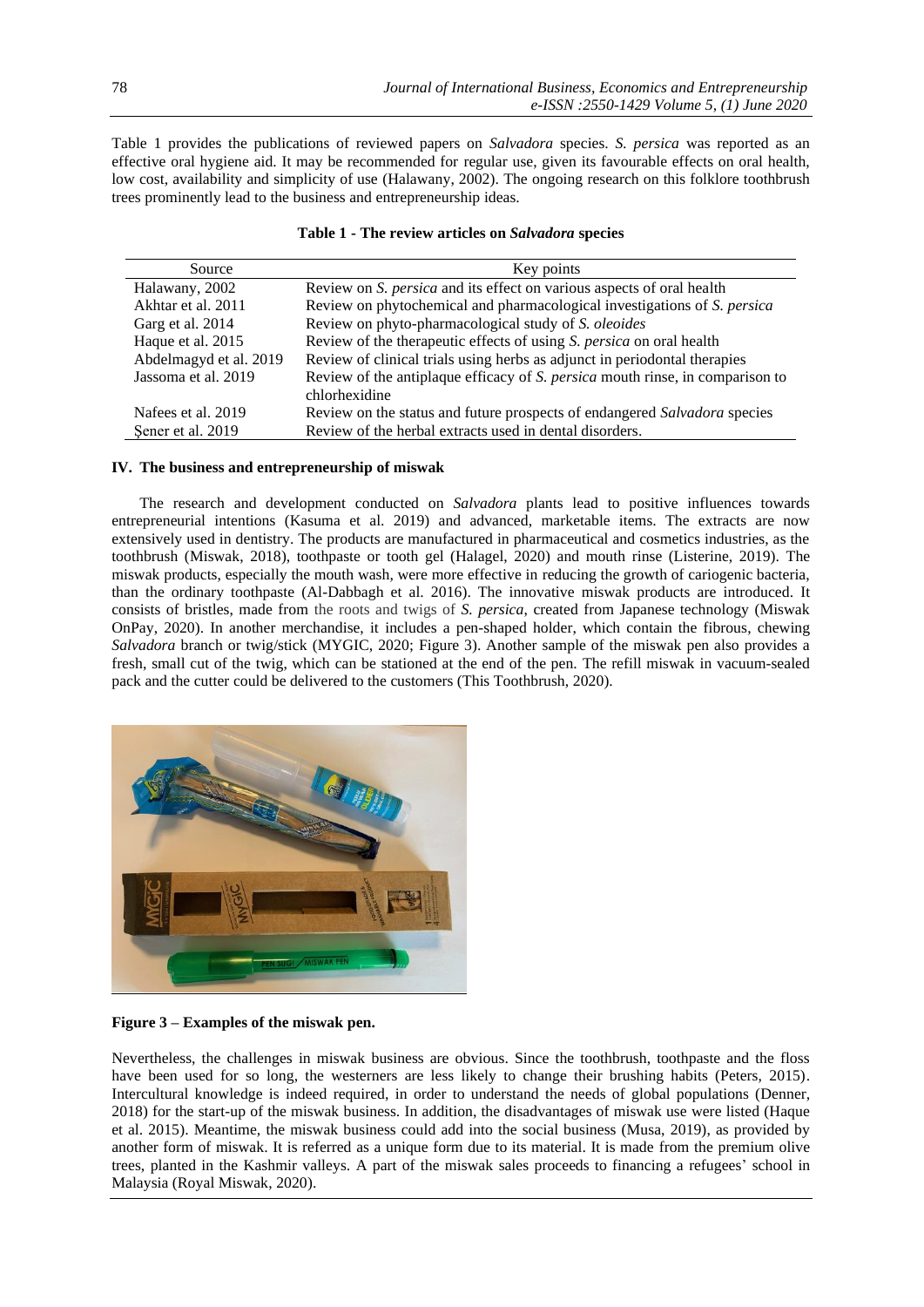Table 1 provides the publications of reviewed papers on *Salvadora* species. *S. persica* was reported as an effective oral hygiene aid. It may be recommended for regular use, given its favourable effects on oral health, low cost, availability and simplicity of use (Halawany, 2002). The ongoing research on this folklore toothbrush trees prominently lead to the business and entrepreneurship ideas.

| Source                 | Key points                                                                    |
|------------------------|-------------------------------------------------------------------------------|
| Halawany, 2002         | Review on S. <i>persica</i> and its effect on various aspects of oral health  |
| Akhtar et al. 2011     | Review on phytochemical and pharmacological investigations of S. persica      |
| Garg et al. 2014       | Review on phyto-pharmacological study of S. oleoides                          |
| Haque et al. 2015      | Review of the therapeutic effects of using S. persica on oral health          |
| Abdelmagyd et al. 2019 | Review of clinical trials using herbs as adjunct in periodontal therapies     |
| Jassoma et al. 2019    | Review of the antiplaque efficacy of S. persica mouth rinse, in comparison to |
|                        | chlorhexidine                                                                 |
| Nafees et al. 2019     | Review on the status and future prospects of endangered Salvadora species     |
| Sener et al. 2019      | Review of the herbal extracts used in dental disorders.                       |

# **Table 1 - The review articles on** *Salvadora* **species**

## **IV. The business and entrepreneurship of miswak**

The research and development conducted on *Salvadora* plants lead to positive influences towards entrepreneurial intentions (Kasuma et al. 2019) and advanced, marketable items. The extracts are now extensively used in dentistry. The products are manufactured in pharmaceutical and cosmetics industries, as the toothbrush (Miswak, 2018), toothpaste or tooth gel (Halagel, 2020) and mouth rinse (Listerine, 2019). The miswak products, especially the mouth wash, were more effective in reducing the growth of cariogenic bacteria, than the ordinary toothpaste (Al-Dabbagh et al. 2016). The innovative miswak products are introduced. It consists of bristles, made from the roots and twigs of *S. persica*, created from Japanese technology (Miswak OnPay, 2020). In another merchandise, it includes a pen-shaped holder, which contain the fibrous, chewing *Salvadora* branch or twig/stick (MYGIC, 2020; Figure 3). Another sample of the miswak pen also provides a fresh, small cut of the twig, which can be stationed at the end of the pen. The refill miswak in vacuum-sealed pack and the cutter could be delivered to the customers (This Toothbrush, 2020).



**Figure 3 – Examples of the miswak pen.** 

Nevertheless, the challenges in miswak business are obvious. Since the toothbrush, toothpaste and the floss have been used for so long, the westerners are less likely to change their brushing habits (Peters, 2015). Intercultural knowledge is indeed required, in order to understand the needs of global populations (Denner, 2018) for the start-up of the miswak business. In addition, the disadvantages of miswak use were listed (Haque et al. 2015). Meantime, the miswak business could add into the social business (Musa, 2019), as provided by another form of miswak. It is referred as a unique form due to its material. It is made from the premium olive trees, planted in the Kashmir valleys. A part of the miswak sales proceeds to financing a refugees' school in Malaysia [\(Royal Miswak,](https://www.royalmiswak.com/) 2020).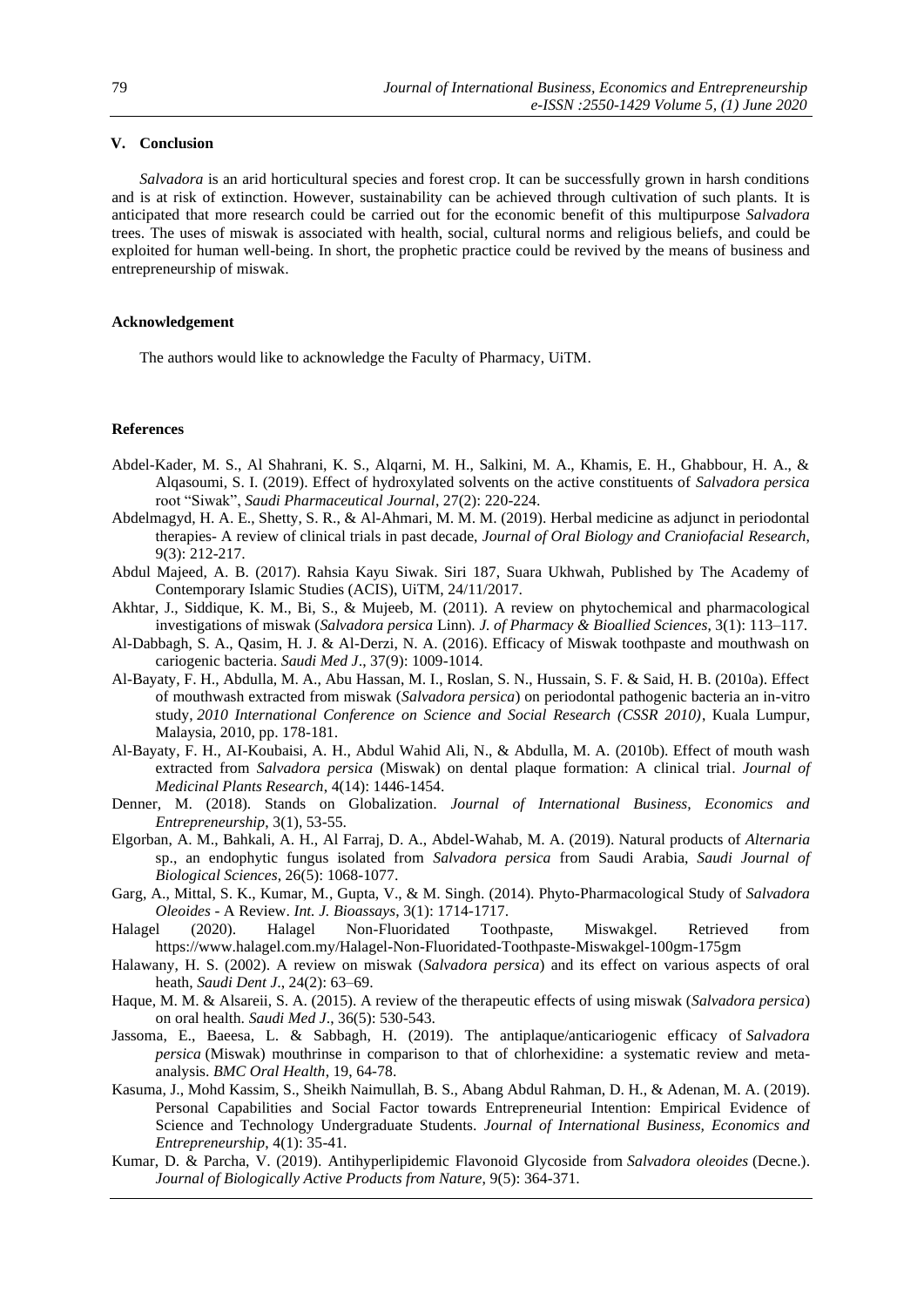# **V. Conclusion**

*Salvadora* is an arid horticultural species and forest crop. It can be successfully grown in harsh conditions and is at risk of extinction. However, sustainability can be achieved through cultivation of such plants. It is anticipated that more research could be carried out for the economic benefit of this multipurpose *Salvadora* trees. The uses of miswak is associated with health, social, cultural norms and religious beliefs, and could be exploited for human well-being. In short, the prophetic practice could be revived by the means of business and entrepreneurship of miswak.

### **Acknowledgement**

The authors would like to acknowledge the Faculty of Pharmacy, UiTM.

#### **References**

- Abdel-Kader, M. S., Al Shahrani, K. S., Alqarni, M. H., Salkini, M. A., Khamis, E. H., Ghabbour, H. A., & Alqasoumi, S. I. (2019). Effect of hydroxylated solvents on the active constituents of *Salvadora persica* root "Siwak", *Saudi Pharmaceutical Journal*, 27(2): 220-224.
- Abdelmagyd, H. A. E., Shetty, S. R., & Al-Ahmari, M. M. M. (2019). Herbal medicine as adjunct in periodontal therapies- A review of clinical trials in past decade, *Journal of Oral Biology and Craniofacial Research*, 9(3): 212-217.
- Abdul Majeed, A. B. (2017). Rahsia Kayu Siwak. Siri 187, Suara Ukhwah, Published by The Academy of Contemporary Islamic Studies (ACIS), UiTM, 24/11/2017.
- Akhtar, J., Siddique, K. M., Bi, S., & Mujeeb, M. (2011). A review on phytochemical and pharmacological investigations of miswak (*Salvadora persica* Linn). *J. of Pharmacy & Bioallied Sciences*, 3(1): 113–117.
- Al-Dabbagh, S. A., Qasim, H. J. & Al-Derzi, N. A. (2016). Efficacy of Miswak toothpaste and mouthwash on cariogenic bacteria. *Saudi Med J*., 37(9): 1009-1014.
- Al-Bayaty, F. H., Abdulla, M. A., Abu Hassan, M. I., Roslan, S. N., Hussain, S. F. & Said, H. B. (2010a). Effect of mouthwash extracted from miswak (*Salvadora persica*) on periodontal pathogenic bacteria an in-vitro study, *2010 International Conference on Science and Social Research (CSSR 2010)*, Kuala Lumpur, Malaysia, 2010, pp. 178-181.
- Al-Bayaty, F. H., AI-Koubaisi, A. H., Abdul Wahid Ali, N., & Abdulla, M. A. (2010b). Effect of mouth wash extracted from *Salvadora persica* (Miswak) on dental plaque formation: A clinical trial. *Journal of Medicinal Plants Research*, 4(14): 1446-1454.
- Denner, M. (2018). Stands on Globalization. *Journal of International Business, Economics and Entrepreneurship*, 3(1), 53-55.
- Elgorban, A. M., Bahkali, A. H., Al Farraj, D. A., Abdel-Wahab, M. A. (2019). Natural products of *Alternaria* sp., an endophytic fungus isolated from *Salvadora persica* from Saudi Arabia, *Saudi Journal of Biological Sciences*, 26(5): 1068-1077.
- Garg, A., Mittal, S. K., Kumar, M., Gupta, V., & M. Singh. (2014). Phyto-Pharmacological Study of *Salvadora Oleoides* - A Review. *Int. J. Bioassays*, 3(1): 1714-1717.
- Halagel (2020). Halagel Non-Fluoridated Toothpaste, Miswakgel. Retrieved from https://www.halagel.com.my/Halagel-Non-Fluoridated-Toothpaste-Miswakgel-100gm-175gm
- Halawany, H. S. (2002). A review on miswak (*Salvadora persica*) and its effect on various aspects of oral heath, *Saudi Dent J*., 24(2): 63–69.
- Haque, M. M. & Alsareii, S. A. (2015). A review of the therapeutic effects of using miswak (*Salvadora persica*) on oral health. *Saudi Med J*., 36(5): 530-543.
- Jassoma, E., Baeesa, L. & Sabbagh, H. (2019). The antiplaque/anticariogenic efficacy of *Salvadora persica* (Miswak) mouthrinse in comparison to that of chlorhexidine: a systematic review and metaanalysis. *BMC Oral Health*, 19, 64-78.
- Kasuma, J., Mohd Kassim, S., Sheikh Naimullah, B. S., Abang Abdul Rahman, D. H., & Adenan, M. A. (2019). Personal Capabilities and Social Factor towards Entrepreneurial Intention: Empirical Evidence of Science and Technology Undergraduate Students. *Journal of International Business, Economics and Entrepreneurship*, 4(1): 35-41.
- Kumar, D. & Parcha, V. (2019). Antihyperlipidemic Flavonoid Glycoside from *Salvadora oleoides* (Decne.). *Journal of Biologically Active Products from Nature*, 9(5): 364-371.